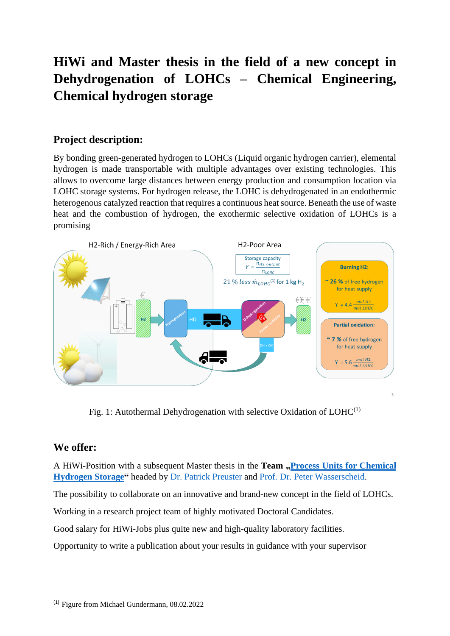# **HiWi and Master thesis in the field of a new concept in Dehydrogenation of LOHCs – Chemical Engineering, Chemical hydrogen storage**

# **Project description:**

By bonding green-generated hydrogen to LOHCs (Liquid organic hydrogen carrier), elemental hydrogen is made transportable with multiple advantages over existing technologies. This allows to overcome large distances between energy production and consumption location via LOHC storage systems. For hydrogen release, the LOHC is dehydrogenated in an endothermic heterogenous catalyzed reaction that requires a continuous heat source. Beneath the use of waste heat and the combustion of hydrogen, the exothermic selective oxidation of LOHCs is a promising



Fig. 1: Autothermal Dehydrogenation with selective Oxidation of  $LOHC^{(1)}$ 

## **We offer:**

A HiWi-Position with a subsequent Master thesis in the **Team** . **Process Units for Chemical [Hydrogen Storage"](https://www.hi-ern.de/hi-ern/h2Storage/ProcUnitChemHydroStor/node.html;jsessionid=708F0B83D97909BA5F0A226C6551C256)** headed by [Dr. Patrick Preuster](https://www.hi-ern.de/hi-ern/h2Storage/ProcUnitChemHydroStor/Team/Preuster/preuster.html?nn=2552964) and [Prof. Dr. Peter Wasserscheid.](https://www.hi-ern.de/hi-ern/h2Storage/Team/Wasserscheid/wasserscheid.html?nn=2443276)

The possibility to collaborate on an innovative and brand-new concept in the field of LOHCs.

Working in a research project team of highly motivated Doctoral Candidates.

Good salary for HiWi-Jobs plus quite new and high-quality laboratory facilities.

Opportunity to write a publication about your results in guidance with your supervisor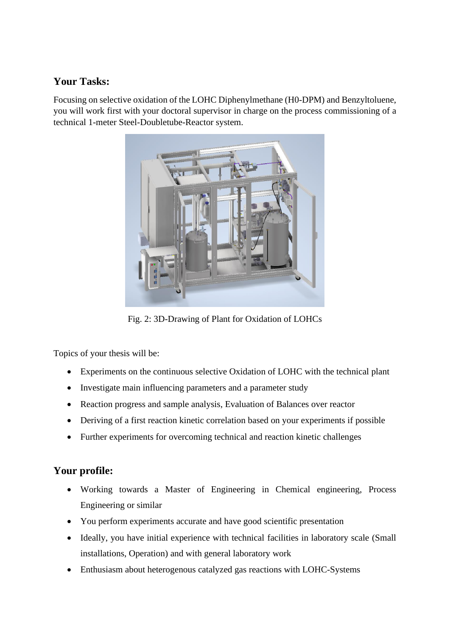# **Your Tasks:**

Focusing on selective oxidation of the LOHC Diphenylmethane (H0-DPM) and Benzyltoluene, you will work first with your doctoral supervisor in charge on the process commissioning of a technical 1-meter Steel-Doubletube-Reactor system.



Fig. 2: 3D-Drawing of Plant for Oxidation of LOHCs

Topics of your thesis will be:

- Experiments on the continuous selective Oxidation of LOHC with the technical plant
- Investigate main influencing parameters and a parameter study
- Reaction progress and sample analysis, Evaluation of Balances over reactor
- Deriving of a first reaction kinetic correlation based on your experiments if possible
- Further experiments for overcoming technical and reaction kinetic challenges

# **Your profile:**

- Working towards a Master of Engineering in Chemical engineering, Process Engineering or similar
- You perform experiments accurate and have good scientific presentation
- Ideally, you have initial experience with technical facilities in laboratory scale (Small installations, Operation) and with general laboratory work
- Enthusiasm about heterogenous catalyzed gas reactions with LOHC-Systems